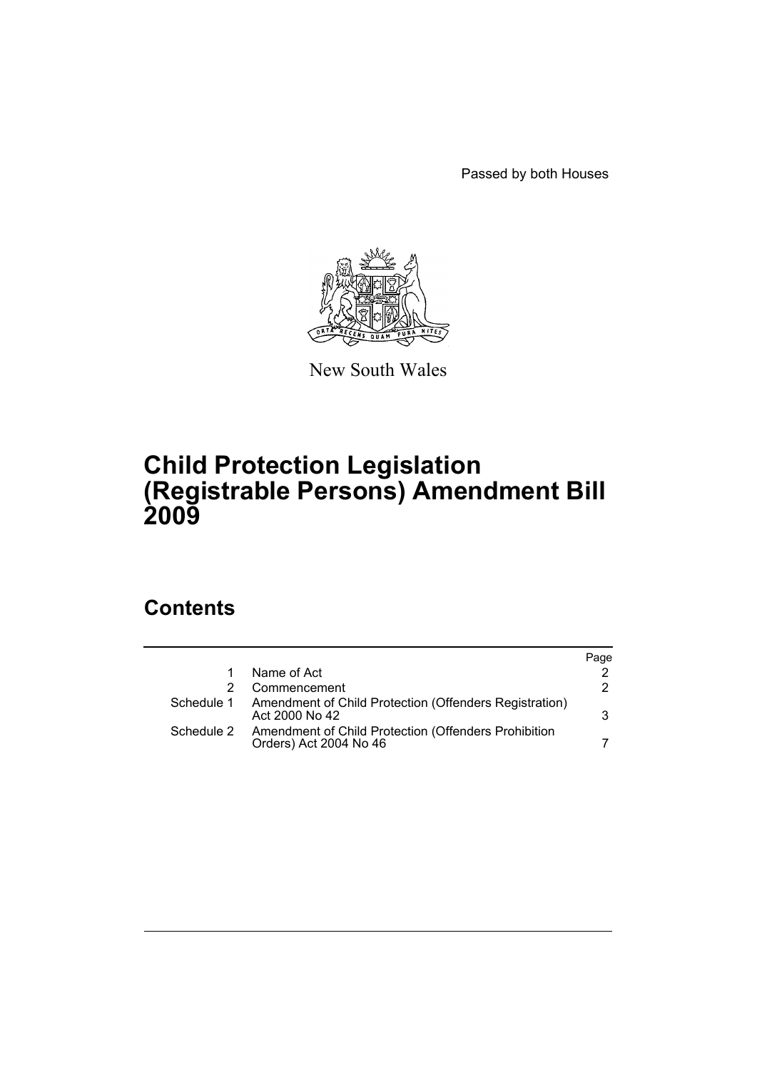Passed by both Houses



New South Wales

# **Child Protection Legislation (Registrable Persons) Amendment Bill 2009**

# **Contents**

|            |                                                                                | Page |
|------------|--------------------------------------------------------------------------------|------|
|            | Name of Act                                                                    | 2    |
|            | Commencement                                                                   | 2    |
| Schedule 1 | Amendment of Child Protection (Offenders Registration)<br>Act 2000 No 42       | 3    |
| Schedule 2 | Amendment of Child Protection (Offenders Prohibition<br>Orders) Act 2004 No 46 |      |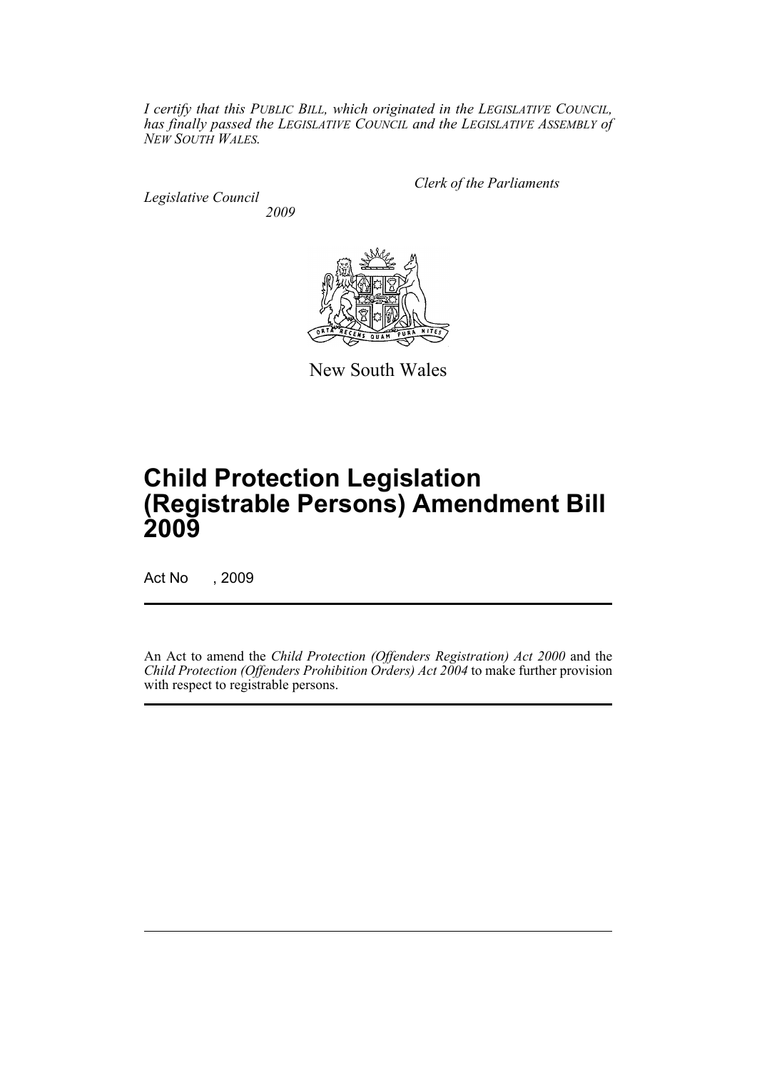*I certify that this PUBLIC BILL, which originated in the LEGISLATIVE COUNCIL, has finally passed the LEGISLATIVE COUNCIL and the LEGISLATIVE ASSEMBLY of NEW SOUTH WALES.*

*Legislative Council 2009* *Clerk of the Parliaments*



New South Wales

# **Child Protection Legislation (Registrable Persons) Amendment Bill 2009**

Act No , 2009

An Act to amend the *Child Protection (Offenders Registration) Act 2000* and the *Child Protection (Offenders Prohibition Orders) Act 2004* to make further provision with respect to registrable persons.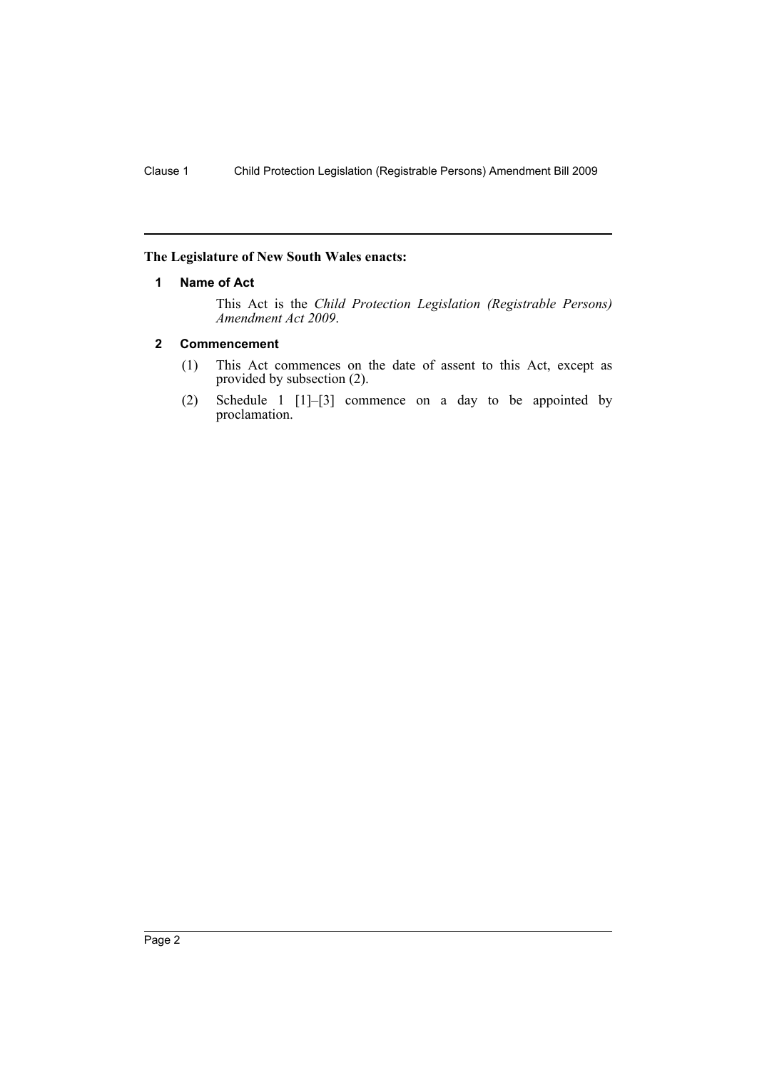### <span id="page-2-0"></span>**The Legislature of New South Wales enacts:**

### **1 Name of Act**

This Act is the *Child Protection Legislation (Registrable Persons) Amendment Act 2009*.

### <span id="page-2-1"></span>**2 Commencement**

- (1) This Act commences on the date of assent to this Act, except as provided by subsection (2).
- (2) Schedule 1 [1]–[3] commence on a day to be appointed by proclamation.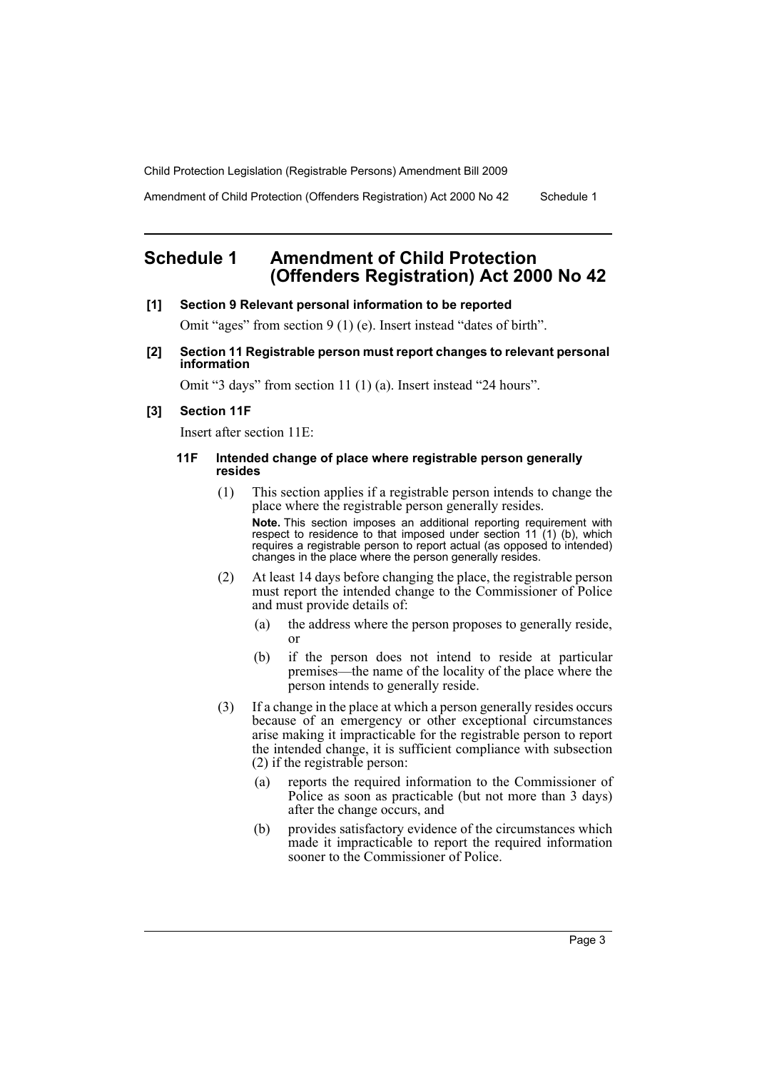Amendment of Child Protection (Offenders Registration) Act 2000 No 42 Schedule 1

# <span id="page-3-0"></span>**Schedule 1 Amendment of Child Protection (Offenders Registration) Act 2000 No 42**

#### **[1] Section 9 Relevant personal information to be reported**

Omit "ages" from section 9 (1) (e). Insert instead "dates of birth".

**[2] Section 11 Registrable person must report changes to relevant personal information**

Omit "3 days" from section 11 (1) (a). Insert instead "24 hours".

#### **[3] Section 11F**

Insert after section 11E:

#### **11F Intended change of place where registrable person generally resides**

- (1) This section applies if a registrable person intends to change the place where the registrable person generally resides. **Note.** This section imposes an additional reporting requirement with respect to residence to that imposed under section 11 (1) (b), which requires a registrable person to report actual (as opposed to intended) changes in the place where the person generally resides.
- (2) At least 14 days before changing the place, the registrable person must report the intended change to the Commissioner of Police and must provide details of:
	- (a) the address where the person proposes to generally reside, or
	- (b) if the person does not intend to reside at particular premises—the name of the locality of the place where the person intends to generally reside.
- (3) If a change in the place at which a person generally resides occurs because of an emergency or other exceptional circumstances arise making it impracticable for the registrable person to report the intended change, it is sufficient compliance with subsection (2) if the registrable person:
	- (a) reports the required information to the Commissioner of Police as soon as practicable (but not more than 3 days) after the change occurs, and
	- (b) provides satisfactory evidence of the circumstances which made it impracticable to report the required information sooner to the Commissioner of Police.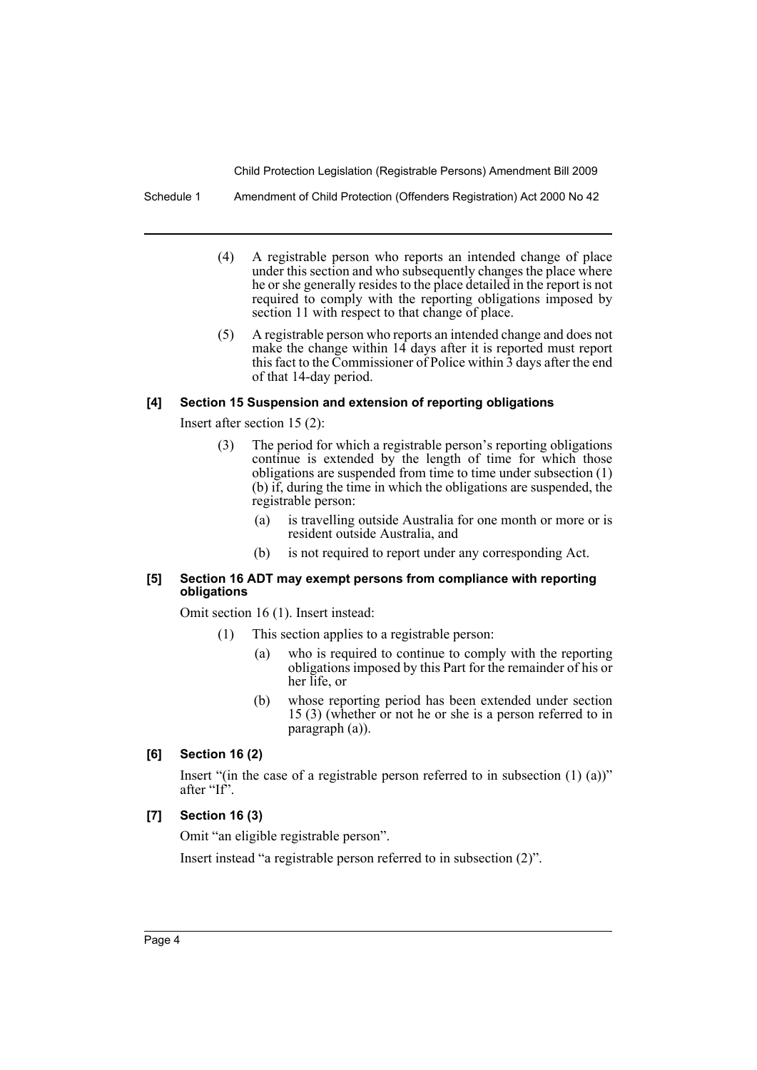Schedule 1 Amendment of Child Protection (Offenders Registration) Act 2000 No 42

- (4) A registrable person who reports an intended change of place under this section and who subsequently changes the place where he or she generally resides to the place detailed in the report is not required to comply with the reporting obligations imposed by section 11 with respect to that change of place.
- (5) A registrable person who reports an intended change and does not make the change within 14 days after it is reported must report this fact to the Commissioner of Police within 3 days after the end of that 14-day period.

#### **[4] Section 15 Suspension and extension of reporting obligations**

Insert after section 15 (2):

- (3) The period for which a registrable person's reporting obligations continue is extended by the length of time for which those obligations are suspended from time to time under subsection (1) (b) if, during the time in which the obligations are suspended, the registrable person:
	- (a) is travelling outside Australia for one month or more or is resident outside Australia, and
	- (b) is not required to report under any corresponding Act.

#### **[5] Section 16 ADT may exempt persons from compliance with reporting obligations**

Omit section 16 (1). Insert instead:

- (1) This section applies to a registrable person:
	- (a) who is required to continue to comply with the reporting obligations imposed by this Part for the remainder of his or her life, or
	- (b) whose reporting period has been extended under section 15 (3) (whether or not he or she is a person referred to in paragraph (a)).

#### **[6] Section 16 (2)**

Insert "(in the case of a registrable person referred to in subsection (1) (a))" after "If".

# **[7] Section 16 (3)**

Omit "an eligible registrable person".

Insert instead "a registrable person referred to in subsection (2)".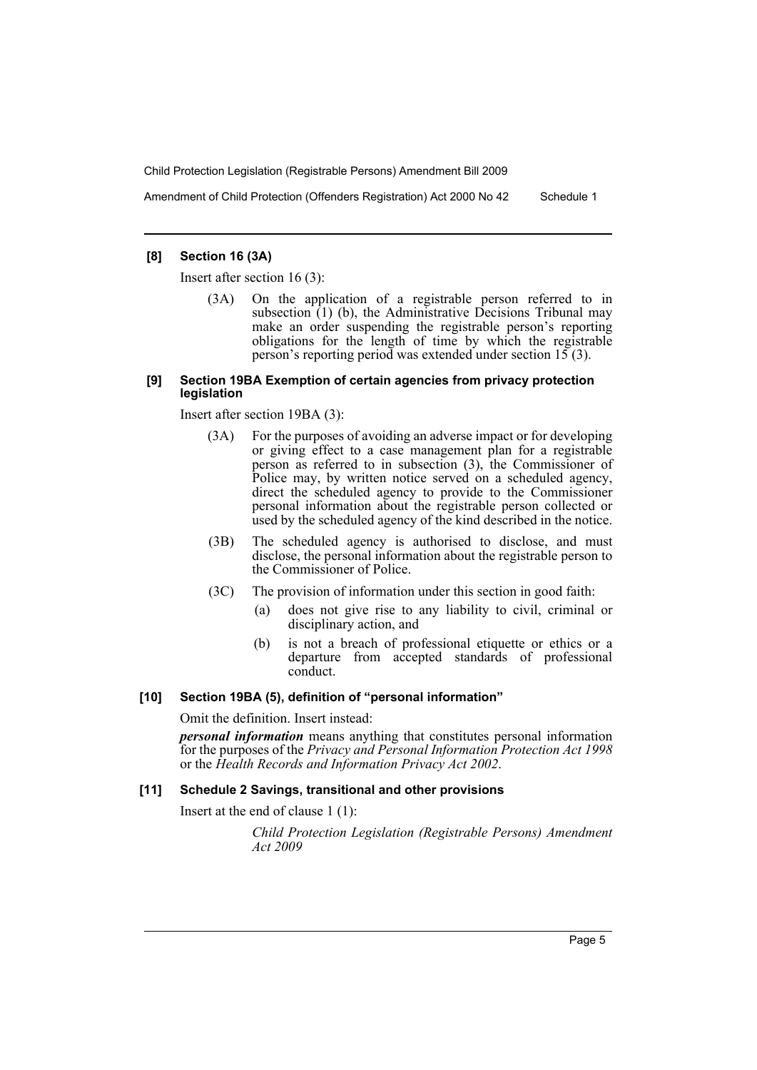Amendment of Child Protection (Offenders Registration) Act 2000 No 42 Schedule 1

# **[8] Section 16 (3A)**

Insert after section 16 (3):

(3A) On the application of a registrable person referred to in subsection  $(1)$  (b), the Administrative Decisions Tribunal may make an order suspending the registrable person's reporting obligations for the length of time by which the registrable person's reporting period was extended under section  $15(3)$ .

#### **[9] Section 19BA Exemption of certain agencies from privacy protection legislation**

Insert after section 19BA (3):

- (3A) For the purposes of avoiding an adverse impact or for developing or giving effect to a case management plan for a registrable person as referred to in subsection (3), the Commissioner of Police may, by written notice served on a scheduled agency, direct the scheduled agency to provide to the Commissioner personal information about the registrable person collected or used by the scheduled agency of the kind described in the notice.
- (3B) The scheduled agency is authorised to disclose, and must disclose, the personal information about the registrable person to the Commissioner of Police.
- (3C) The provision of information under this section in good faith:
	- (a) does not give rise to any liability to civil, criminal or disciplinary action, and
	- (b) is not a breach of professional etiquette or ethics or a departure from accepted standards of professional conduct.

# **[10] Section 19BA (5), definition of "personal information"**

Omit the definition. Insert instead:

*personal information* means anything that constitutes personal information for the purposes of the *Privacy and Personal Information Protection Act 1998* or the *Health Records and Information Privacy Act 2002*.

# **[11] Schedule 2 Savings, transitional and other provisions**

Insert at the end of clause 1 (1):

*Child Protection Legislation (Registrable Persons) Amendment Act 2009*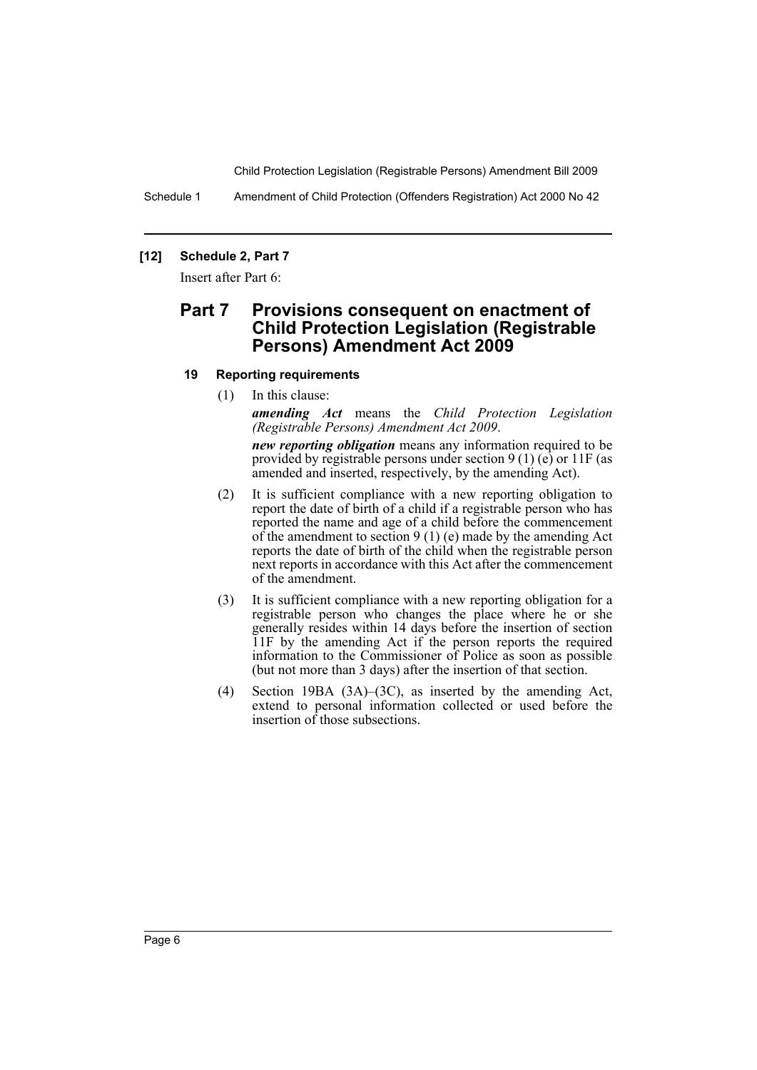Schedule 1 Amendment of Child Protection (Offenders Registration) Act 2000 No 42

### **[12] Schedule 2, Part 7**

Insert after Part 6:

# **Part 7 Provisions consequent on enactment of Child Protection Legislation (Registrable Persons) Amendment Act 2009**

#### **19 Reporting requirements**

(1) In this clause:

*amending Act* means the *Child Protection Legislation (Registrable Persons) Amendment Act 2009*.

*new reporting obligation* means any information required to be provided by registrable persons under section  $9(1)$  (e) or 11F (as amended and inserted, respectively, by the amending Act).

- (2) It is sufficient compliance with a new reporting obligation to report the date of birth of a child if a registrable person who has reported the name and age of a child before the commencement of the amendment to section  $9(1)$  (e) made by the amending Act reports the date of birth of the child when the registrable person next reports in accordance with this Act after the commencement of the amendment.
- (3) It is sufficient compliance with a new reporting obligation for a registrable person who changes the place where he or she generally resides within 14 days before the insertion of section 11F by the amending Act if the person reports the required information to the Commissioner of Police as soon as possible (but not more than 3 days) after the insertion of that section.
- (4) Section 19BA (3A)–(3C), as inserted by the amending Act, extend to personal information collected or used before the insertion of those subsections.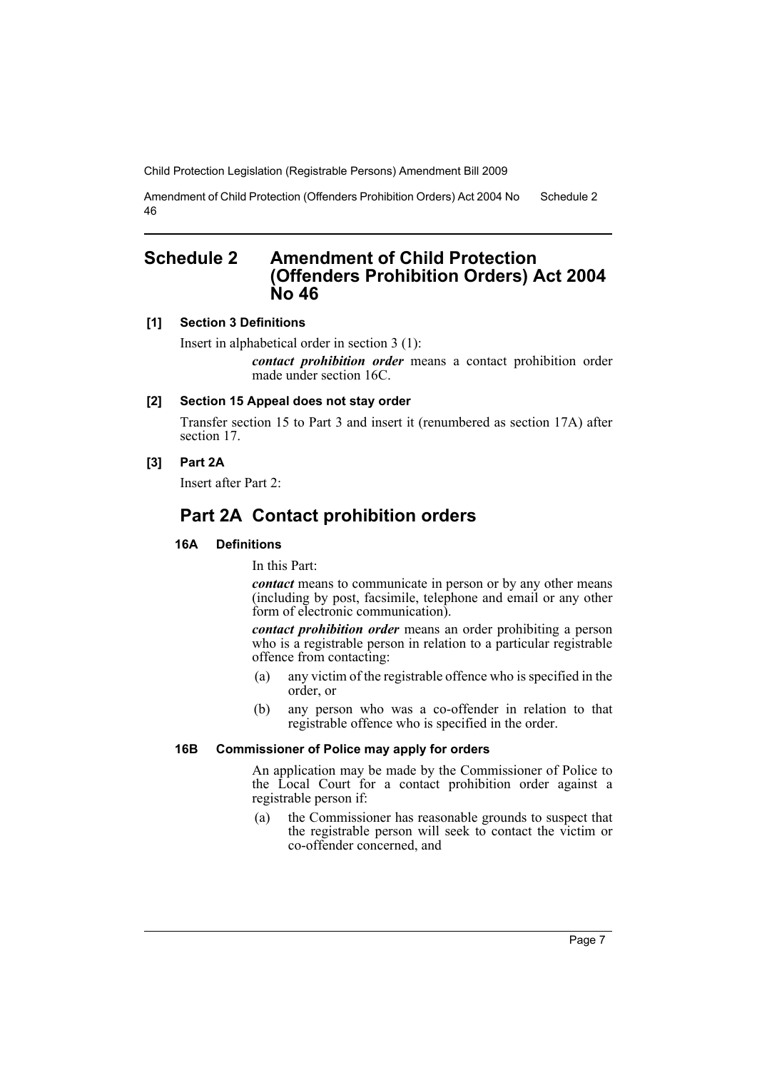Amendment of Child Protection (Offenders Prohibition Orders) Act 2004 No 46 Schedule 2

# <span id="page-7-0"></span>**Schedule 2 Amendment of Child Protection (Offenders Prohibition Orders) Act 2004 No 46**

### **[1] Section 3 Definitions**

Insert in alphabetical order in section 3 (1):

*contact prohibition order* means a contact prohibition order made under section 16C.

### **[2] Section 15 Appeal does not stay order**

Transfer section 15 to Part 3 and insert it (renumbered as section 17A) after section 17.

#### **[3] Part 2A**

Insert after Part 2:

# **Part 2A Contact prohibition orders**

## **16A Definitions**

In this Part:

*contact* means to communicate in person or by any other means (including by post, facsimile, telephone and email or any other form of electronic communication).

*contact prohibition order* means an order prohibiting a person who is a registrable person in relation to a particular registrable offence from contacting:

- (a) any victim of the registrable offence who is specified in the order, or
- (b) any person who was a co-offender in relation to that registrable offence who is specified in the order.

#### **16B Commissioner of Police may apply for orders**

An application may be made by the Commissioner of Police to the Local Court for a contact prohibition order against a registrable person if:

(a) the Commissioner has reasonable grounds to suspect that the registrable person will seek to contact the victim or co-offender concerned, and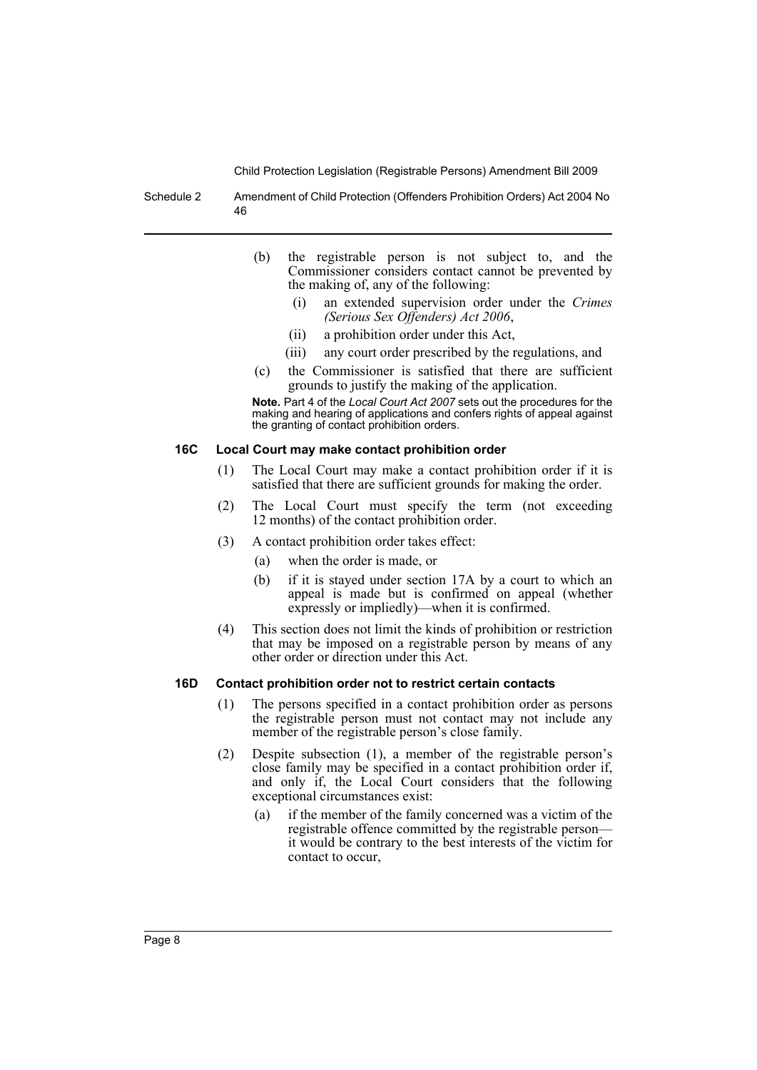Schedule 2 Amendment of Child Protection (Offenders Prohibition Orders) Act 2004 No 46

- (b) the registrable person is not subject to, and the Commissioner considers contact cannot be prevented by the making of, any of the following:
	- (i) an extended supervision order under the *Crimes (Serious Sex Offenders) Act 2006*,
	- (ii) a prohibition order under this Act,
	- (iii) any court order prescribed by the regulations, and
- (c) the Commissioner is satisfied that there are sufficient grounds to justify the making of the application.

**Note.** Part 4 of the *Local Court Act 2007* sets out the procedures for the making and hearing of applications and confers rights of appeal against the granting of contact prohibition orders.

#### **16C Local Court may make contact prohibition order**

- (1) The Local Court may make a contact prohibition order if it is satisfied that there are sufficient grounds for making the order.
- (2) The Local Court must specify the term (not exceeding 12 months) of the contact prohibition order.
- (3) A contact prohibition order takes effect:
	- (a) when the order is made, or
	- (b) if it is stayed under section 17A by a court to which an appeal is made but is confirmed on appeal (whether expressly or impliedly)—when it is confirmed.
- (4) This section does not limit the kinds of prohibition or restriction that may be imposed on a registrable person by means of any other order or direction under this Act.

#### **16D Contact prohibition order not to restrict certain contacts**

- (1) The persons specified in a contact prohibition order as persons the registrable person must not contact may not include any member of the registrable person's close family.
- (2) Despite subsection (1), a member of the registrable person's close family may be specified in a contact prohibition order if, and only if, the Local Court considers that the following exceptional circumstances exist:
	- (a) if the member of the family concerned was a victim of the registrable offence committed by the registrable person it would be contrary to the best interests of the victim for contact to occur,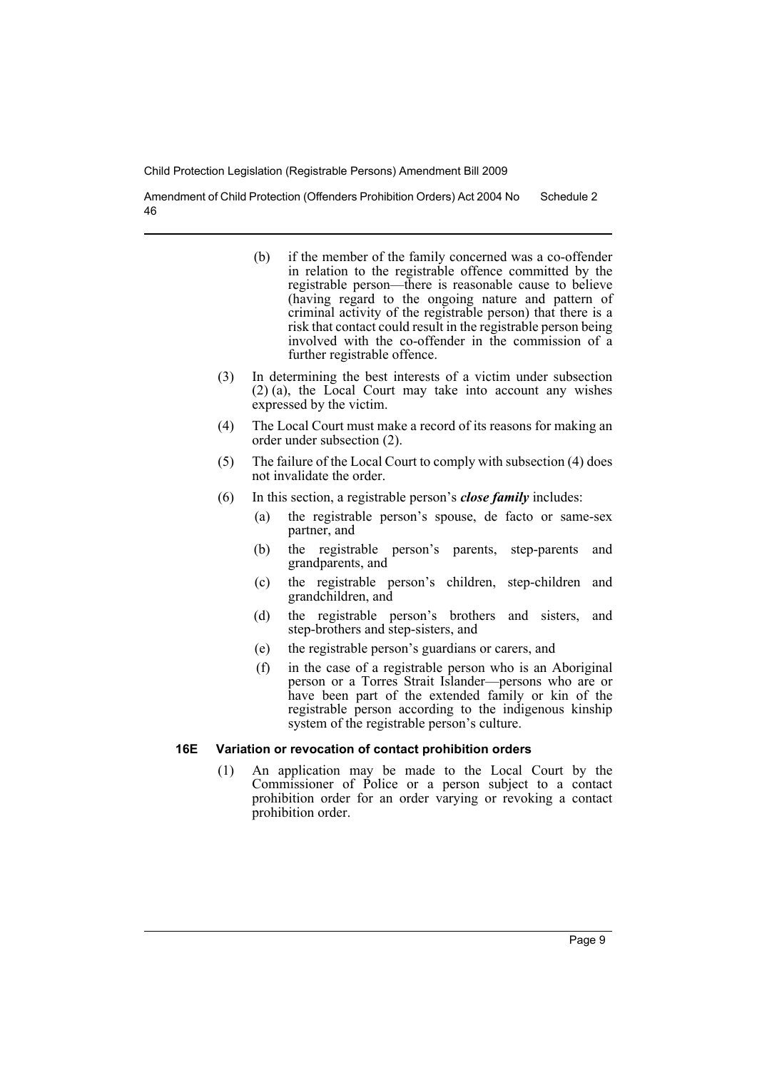Amendment of Child Protection (Offenders Prohibition Orders) Act 2004 No 46 Schedule 2

- (b) if the member of the family concerned was a co-offender in relation to the registrable offence committed by the registrable person—there is reasonable cause to believe (having regard to the ongoing nature and pattern of criminal activity of the registrable person) that there is a risk that contact could result in the registrable person being involved with the co-offender in the commission of a further registrable offence.
- (3) In determining the best interests of a victim under subsection (2) (a), the Local Court may take into account any wishes expressed by the victim.
- (4) The Local Court must make a record of its reasons for making an order under subsection (2).
- (5) The failure of the Local Court to comply with subsection (4) does not invalidate the order.
- (6) In this section, a registrable person's *close family* includes:
	- (a) the registrable person's spouse, de facto or same-sex partner, and
	- (b) the registrable person's parents, step-parents and grandparents, and
	- (c) the registrable person's children, step-children and grandchildren, and
	- (d) the registrable person's brothers and sisters, and step-brothers and step-sisters, and
	- (e) the registrable person's guardians or carers, and
	- (f) in the case of a registrable person who is an Aboriginal person or a Torres Strait Islander—persons who are or have been part of the extended family or kin of the registrable person according to the indigenous kinship system of the registrable person's culture.

#### **16E Variation or revocation of contact prohibition orders**

(1) An application may be made to the Local Court by the Commissioner of Police or a person subject to a contact prohibition order for an order varying or revoking a contact prohibition order.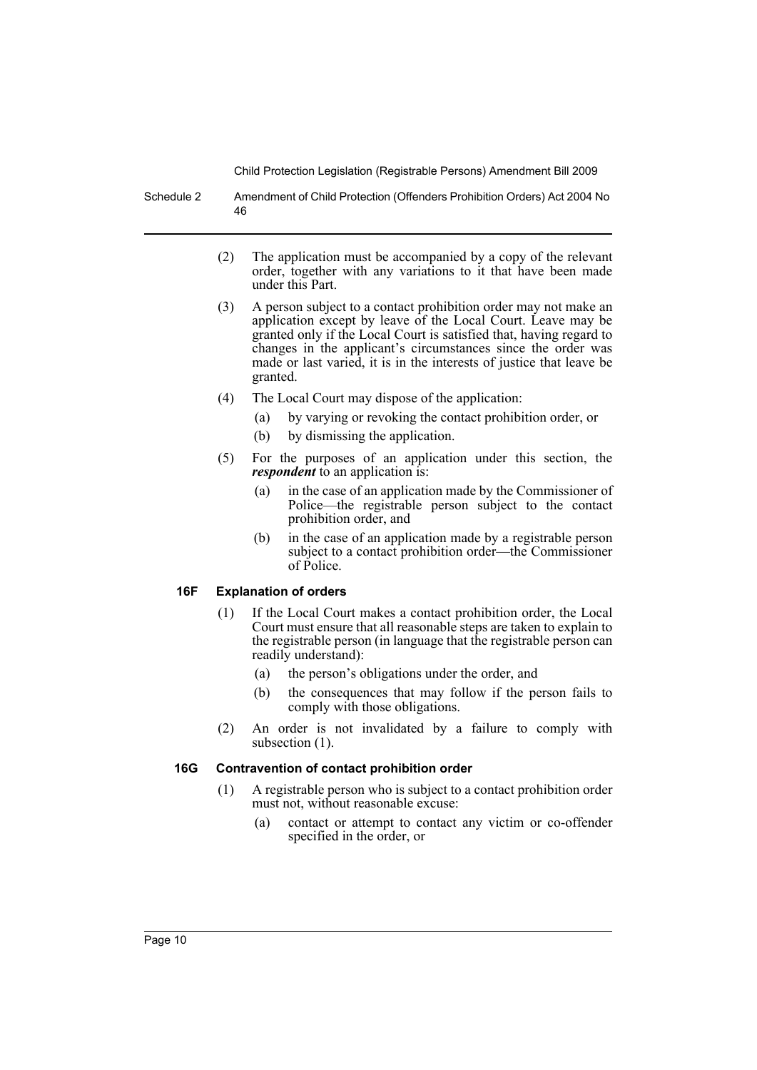Schedule 2 Amendment of Child Protection (Offenders Prohibition Orders) Act 2004 No 46

- (2) The application must be accompanied by a copy of the relevant order, together with any variations to it that have been made under this Part.
- (3) A person subject to a contact prohibition order may not make an application except by leave of the Local Court. Leave may be granted only if the Local Court is satisfied that, having regard to changes in the applicant's circumstances since the order was made or last varied, it is in the interests of justice that leave be granted.
- (4) The Local Court may dispose of the application:
	- (a) by varying or revoking the contact prohibition order, or
	- (b) by dismissing the application.
- (5) For the purposes of an application under this section, the *respondent* to an application is:
	- (a) in the case of an application made by the Commissioner of Police—the registrable person subject to the contact prohibition order, and
	- (b) in the case of an application made by a registrable person subject to a contact prohibition order—the Commissioner of Police.

# **16F Explanation of orders**

- (1) If the Local Court makes a contact prohibition order, the Local Court must ensure that all reasonable steps are taken to explain to the registrable person (in language that the registrable person can readily understand):
	- (a) the person's obligations under the order, and
	- (b) the consequences that may follow if the person fails to comply with those obligations.
- (2) An order is not invalidated by a failure to comply with subsection  $(1)$ .

# **16G Contravention of contact prohibition order**

- (1) A registrable person who is subject to a contact prohibition order must not, without reasonable excuse:
	- (a) contact or attempt to contact any victim or co-offender specified in the order, or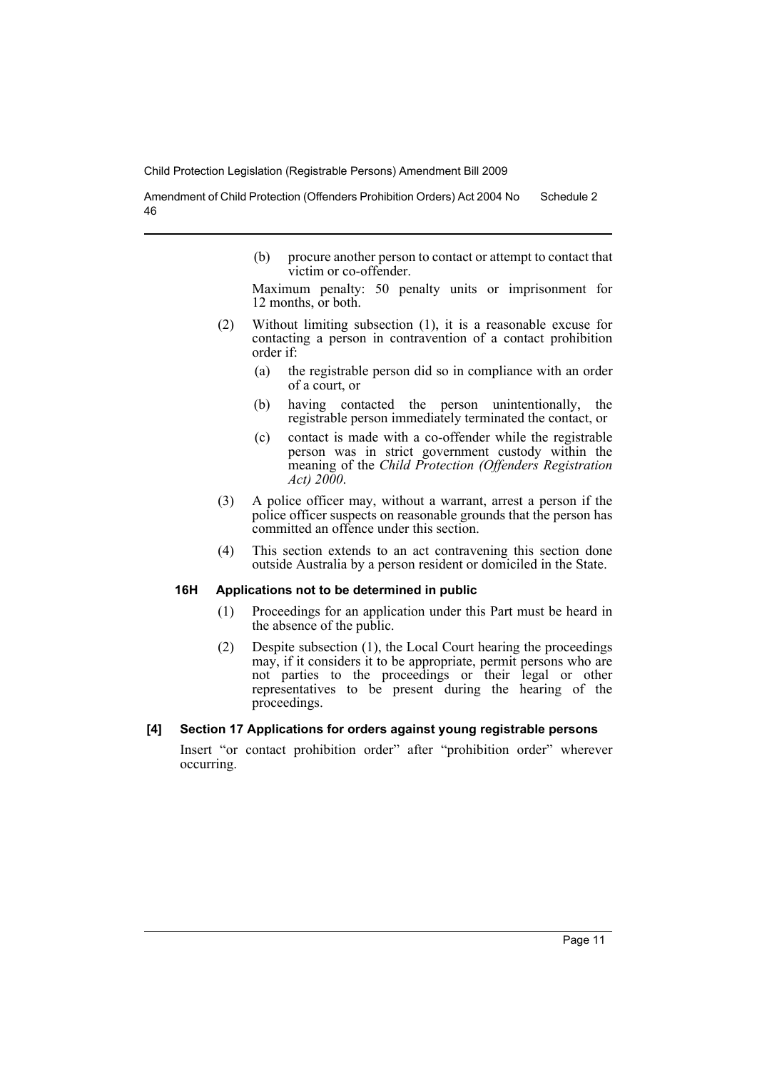Amendment of Child Protection (Offenders Prohibition Orders) Act 2004 No 46 Schedule 2

> (b) procure another person to contact or attempt to contact that victim or co-offender.

> Maximum penalty: 50 penalty units or imprisonment for 12 months, or both.

- (2) Without limiting subsection (1), it is a reasonable excuse for contacting a person in contravention of a contact prohibition order if:
	- (a) the registrable person did so in compliance with an order of a court, or
	- (b) having contacted the person unintentionally, the registrable person immediately terminated the contact, or
	- (c) contact is made with a co-offender while the registrable person was in strict government custody within the meaning of the *Child Protection (Offenders Registration Act) 2000*.
- (3) A police officer may, without a warrant, arrest a person if the police officer suspects on reasonable grounds that the person has committed an offence under this section.
- (4) This section extends to an act contravening this section done outside Australia by a person resident or domiciled in the State.

# **16H Applications not to be determined in public**

- (1) Proceedings for an application under this Part must be heard in the absence of the public.
- (2) Despite subsection (1), the Local Court hearing the proceedings may, if it considers it to be appropriate, permit persons who are not parties to the proceedings or their legal or other representatives to be present during the hearing of the proceedings.

# **[4] Section 17 Applications for orders against young registrable persons**

Insert "or contact prohibition order" after "prohibition order" wherever occurring.